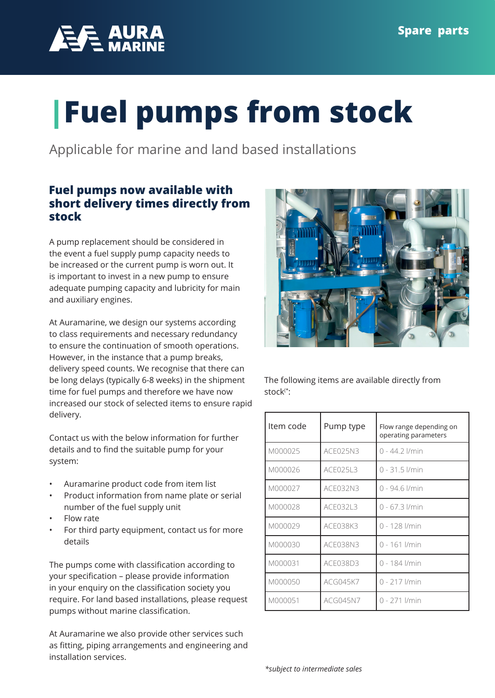

## **|Fuel pumps from stock**

Applicable for marine and land based installations

## **Fuel pumps now available with short delivery times directly from stock**

A pump replacement should be considered in the event a fuel supply pump capacity needs to be increased or the current pump is worn out. It is important to invest in a new pump to ensure adequate pumping capacity and lubricity for main and auxiliary engines.

At Auramarine, we design our systems according to class requirements and necessary redundancy to ensure the continuation of smooth operations. However, in the instance that a pump breaks, delivery speed counts. We recognise that there can be long delays (typically 6-8 weeks) in the shipment time for fuel pumps and therefore we have now increased our stock of selected items to ensure rapid delivery.

Contact us with the below information for further details and to find the suitable pump for your system:

- Auramarine product code from item list
- Product information from name plate or serial number of the fuel supply unit
- Flow rate
- For third party equipment, contact us for more details

The pumps come with classification according to your specification – please provide information in your enquiry on the classification society you require. For land based installations, please request pumps without marine classification.

At Auramarine we also provide other services such as fitting, piping arrangements and engineering and installation services.



The following items are available directly from stock(\*:

| Item code | Pump type       | Flow range depending on<br>operating parameters |
|-----------|-----------------|-------------------------------------------------|
| M000025   | ACE025N3        | 0 - 44.2 l/min                                  |
| M000026   | ACE025L3        | $0 - 31.5$ <i>I/min</i>                         |
| M000027   | ACE032N3        | 0 - 94.6 l/min                                  |
| M000028   | <b>ACE032L3</b> | $0 - 67.3$ I/min                                |
| M000029   | ACE038K3        | 0 - 128 l/min                                   |
| M000030   | ACE038N3        | 0 - 161 l/min                                   |
| M000031   | ACE038D3        | 0 - 184 l/min                                   |
| M000050   | <b>ACG045K7</b> | 0 - 217 l/min                                   |
| M000051   | <b>ACG045N7</b> | 0 - 271 l/min                                   |